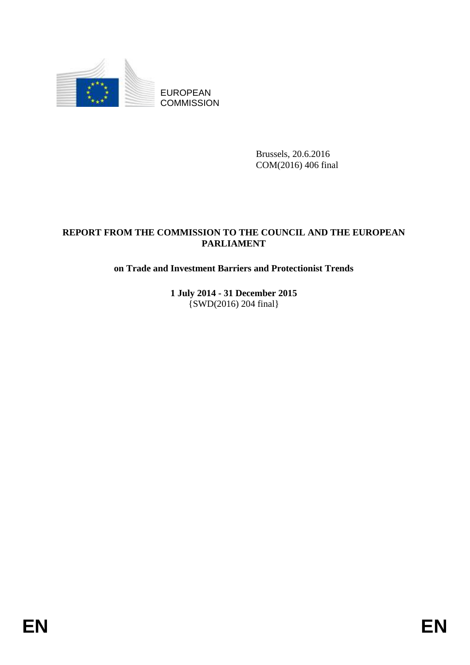

EUROPEAN **COMMISSION** 

> Brussels, 20.6.2016 COM(2016) 406 final

# **REPORT FROM THE COMMISSION TO THE COUNCIL AND THE EUROPEAN PARLIAMENT**

# **on Trade and Investment Barriers and Protectionist Trends**

**1 July 2014 - 31 December 2015** {SWD(2016) 204 final}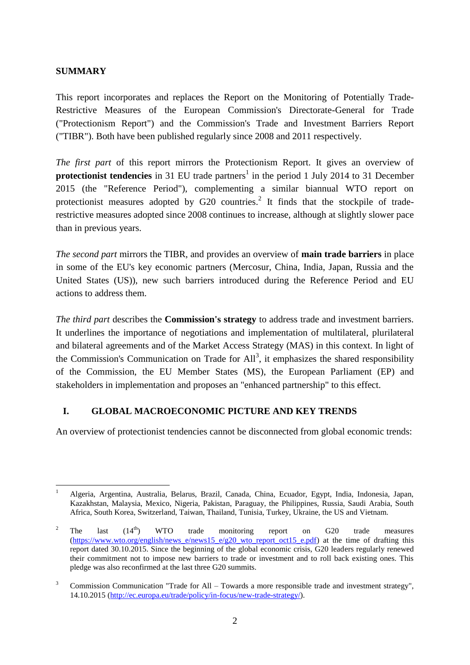### **SUMMARY**

1

This report incorporates and replaces the Report on the Monitoring of Potentially Trade-Restrictive Measures of the European Commission's Directorate-General for Trade ("Protectionism Report") and the Commission's Trade and Investment Barriers Report ("TIBR"). Both have been published regularly since 2008 and 2011 respectively.

<span id="page-1-0"></span>*The first part* of this report mirrors the Protectionism Report. It gives an overview of **protectionist tendencies** in 31 EU trade partners<sup>1</sup> in the period 1 July 2014 to 31 December 2015 (the "Reference Period"), complementing a similar biannual WTO report on protectionist measures adopted by  $G20$  countries.<sup>2</sup> It finds that the stockpile of traderestrictive measures adopted since 2008 continues to increase, although at slightly slower pace than in previous years.

*The second part* mirrors the TIBR, and provides an overview of **main trade barriers** in place in some of the EU's key economic partners (Mercosur, China, India, Japan, Russia and the United States (US)), new such barriers introduced during the Reference Period and EU actions to address them.

*The third part* describes the **Commission's strategy** to address trade and investment barriers. It underlines the importance of negotiations and implementation of multilateral, plurilateral and bilateral agreements and of the Market Access Strategy (MAS) in this context. In light of the Commission's Communication on Trade for  $All^3$ , it emphasizes the shared responsibility of the Commission, the EU Member States (MS), the European Parliament (EP) and stakeholders in implementation and proposes an "enhanced partnership" to this effect.

#### <span id="page-1-1"></span>**I. GLOBAL MACROECONOMIC PICTURE AND KEY TRENDS**

An overview of protectionist tendencies cannot be disconnected from global economic trends:

<sup>1</sup> Algeria, Argentina, Australia, Belarus, Brazil, Canada, China, Ecuador, Egypt, India, Indonesia, Japan, Kazakhstan, Malaysia, Mexico, Nigeria, Pakistan, Paraguay, the Philippines, Russia, Saudi Arabia, South Africa, South Korea, Switzerland, Taiwan, Thailand, Tunisia, Turkey, Ukraine, the US and Vietnam.

<sup>&</sup>lt;sup>2</sup> The last  $(14^{th})$  WTO trade monitoring report on G20 trade measures [\(https://www.wto.org/english/news\\_e/news15\\_e/g20\\_wto\\_report\\_oct15\\_e.pdf\)](https://www.wto.org/english/news_e/news15_e/g20_wto_report_oct15_e.pdf) at the time of drafting this report dated 30.10.2015. Since the beginning of the global economic crisis, G20 leaders regularly renewed their commitment not to impose new barriers to trade or investment and to roll back existing ones. This pledge was also reconfirmed at the last three G20 summits.

<sup>&</sup>lt;sup>3</sup> Commission Communication "Trade for All – Towards a more responsible trade and investment strategy", 14.10.2015 [\(http://ec.europa.eu/trade/policy/in-focus/new-trade-strategy/\)](http://ec.europa.eu/trade/policy/in-focus/new-trade-strategy/).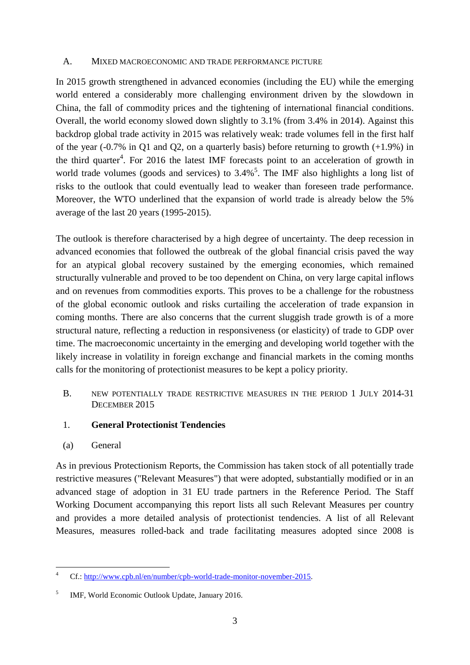#### A. MIXED MACROECONOMIC AND TRADE PERFORMANCE PICTURE

In 2015 growth strengthened in advanced economies (including the EU) while the emerging world entered a considerably more challenging environment driven by the slowdown in China, the fall of commodity prices and the tightening of international financial conditions. Overall, the world economy slowed down slightly to 3.1% (from 3.4% in 2014). Against this backdrop global trade activity in 2015 was relatively weak: trade volumes fell in the first half of the year (-0.7% in Q1 and Q2, on a quarterly basis) before returning to growth (+1.9%) in the third quarter<sup>4</sup>. For 2016 the latest IMF forecasts point to an acceleration of growth in world trade volumes (goods and services) to  $3.4\%$ <sup>5</sup>. The IMF also highlights a long list of risks to the outlook that could eventually lead to weaker than foreseen trade performance. Moreover, the WTO underlined that the expansion of world trade is already below the 5% average of the last 20 years (1995-2015).

The outlook is therefore characterised by a high degree of uncertainty. The deep recession in advanced economies that followed the outbreak of the global financial crisis paved the way for an atypical global recovery sustained by the emerging economies, which remained structurally vulnerable and proved to be too dependent on China, on very large capital inflows and on revenues from commodities exports. This proves to be a challenge for the robustness of the global economic outlook and risks curtailing the acceleration of trade expansion in coming months. There are also concerns that the current sluggish trade growth is of a more structural nature, reflecting a reduction in responsiveness (or elasticity) of trade to GDP over time. The macroeconomic uncertainty in the emerging and developing world together with the likely increase in volatility in foreign exchange and financial markets in the coming months calls for the monitoring of protectionist measures to be kept a policy priority.

B. NEW POTENTIALLY TRADE RESTRICTIVE MEASURES IN THE PERIOD 1 JULY 2014-31 DECEMBER 2015

#### 1. **General Protectionist Tendencies**

(a) General

As in previous Protectionism Reports, the Commission has taken stock of all potentially trade restrictive measures ("Relevant Measures") that were adopted, substantially modified or in an advanced stage of adoption in 31 EU trade partners in the Reference Period. The Staff Working Document accompanying this report lists all such Relevant Measures per country and provides a more detailed analysis of protectionist tendencies. A list of all Relevant Measures, measures rolled-back and trade facilitating measures adopted since 2008 is

<sup>&</sup>lt;u>.</u> <sup>4</sup> Cf.: [http://www.cpb.nl/en/number/cpb-world-trade-monitor-november-2015.](http://www.cpb.nl/en/number/cpb-world-trade-monitor-november-2015)

<sup>5</sup> IMF, World Economic Outlook Update, January 2016.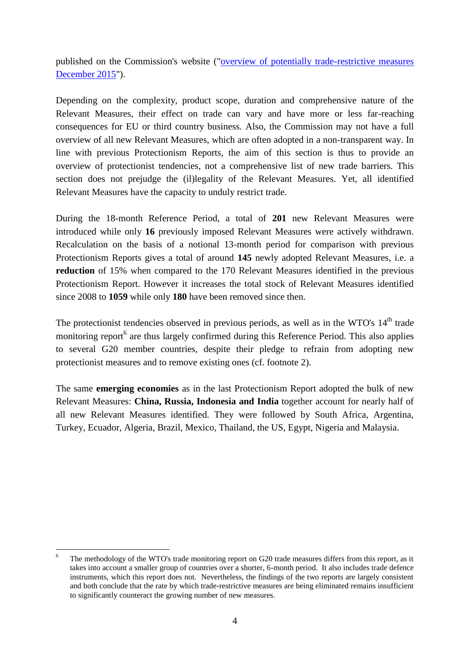published on the Commission's website (["overview of potentially trade-restrictive measures](http://trade.ec.europa.eu/doclib/html/154568.htm)  [December 2015"](http://trade.ec.europa.eu/doclib/html/154568.htm)).

Depending on the complexity, product scope, duration and comprehensive nature of the Relevant Measures, their effect on trade can vary and have more or less far-reaching consequences for EU or third country business. Also, the Commission may not have a full overview of all new Relevant Measures, which are often adopted in a non-transparent way. In line with previous Protectionism Reports, the aim of this section is thus to provide an overview of protectionist tendencies, not a comprehensive list of new trade barriers. This section does not prejudge the (il)legality of the Relevant Measures. Yet, all identified Relevant Measures have the capacity to unduly restrict trade.

During the 18-month Reference Period, a total of **201** new Relevant Measures were introduced while only **16** previously imposed Relevant Measures were actively withdrawn. Recalculation on the basis of a notional 13-month period for comparison with previous Protectionism Reports gives a total of around **145** newly adopted Relevant Measures, i.e. a **reduction** of 15% when compared to the 170 Relevant Measures identified in the previous Protectionism Report. However it increases the total stock of Relevant Measures identified since 2008 to **1059** while only **180** have been removed since then.

The protectionist tendencies observed in previous periods, as well as in the WTO's 14<sup>th</sup> trade monitoring report<sup>6</sup> are thus largely confirmed during this Reference Period. This also applies to several G20 member countries, despite their pledge to refrain from adopting new protectionist measures and to remove existing ones (cf. footnote [2\)](#page-1-0).

The same **emerging economies** as in the last Protectionism Report adopted the bulk of new Relevant Measures: **China, Russia, Indonesia and India** together account for nearly half of all new Relevant Measures identified. They were followed by South Africa, Argentina, Turkey, Ecuador, Algeria, Brazil, Mexico, Thailand, the US, Egypt, Nigeria and Malaysia.

<sup>1</sup> The methodology of the WTO's trade monitoring report on G20 trade measures differs from this report, as it takes into account a smaller group of countries over a shorter, 6-month period. It also includes trade defence instruments, which this report does not. Nevertheless, the findings of the two reports are largely consistent and both conclude that the rate by which trade-restrictive measures are being eliminated remains insufficient to significantly counteract the growing number of new measures.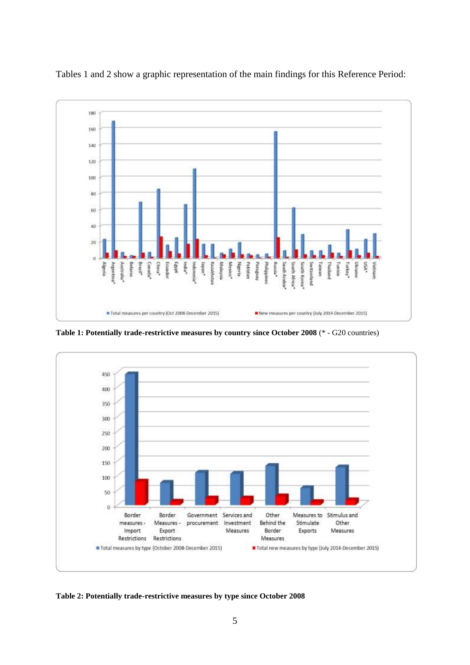

Tables 1 and 2 show a graphic representation of the main findings for this Reference Period:

**Table 1: Potentially trade-restrictive measures by country since October 2008** (\* - G20 countries)



**Table 2: Potentially trade-restrictive measures by type since October 2008**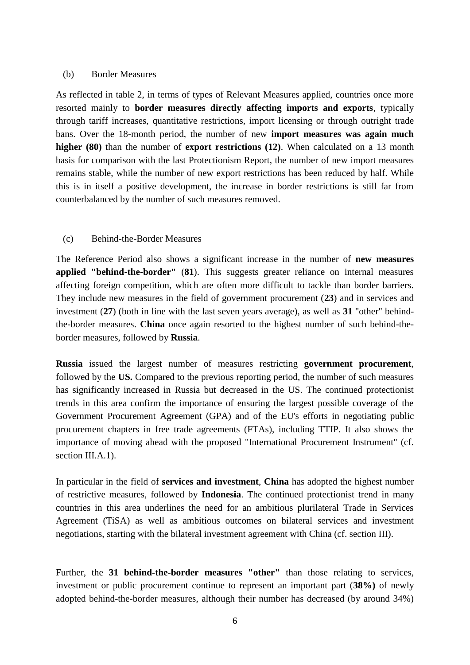#### (b) Border Measures

As reflected in table 2, in terms of types of Relevant Measures applied, countries once more resorted mainly to **border measures directly affecting imports and exports**, typically through tariff increases, quantitative restrictions, import licensing or through outright trade bans. Over the 18-month period, the number of new **import measures was again much higher (80)** than the number of **export restrictions (12)**. When calculated on a 13 month basis for comparison with the last Protectionism Report, the number of new import measures remains stable, while the number of new export restrictions has been reduced by half. While this is in itself a positive development, the increase in border restrictions is still far from counterbalanced by the number of such measures removed.

#### (c) Behind-the-Border Measures

The Reference Period also shows a significant increase in the number of **new measures applied "behind-the-border"** (**81**). This suggests greater reliance on internal measures affecting foreign competition, which are often more difficult to tackle than border barriers. They include new measures in the field of government procurement (**23**) and in services and investment (**27**) (both in line with the last seven years average), as well as **31** "other" behindthe-border measures. **China** once again resorted to the highest number of such behind-theborder measures, followed by **Russia**.

**Russia** issued the largest number of measures restricting **government procurement**, followed by the **US.** Compared to the previous reporting period, the number of such measures has significantly increased in Russia but decreased in the US. The continued protectionist trends in this area confirm the importance of ensuring the largest possible coverage of the Government Procurement Agreement (GPA) and of the EU's efforts in negotiating public procurement chapters in free trade agreements (FTAs), including TTIP. It also shows the importance of moving ahead with the proposed "International Procurement Instrument" (cf. section III.A.1).

In particular in the field of **services and investment**, **China** has adopted the highest number of restrictive measures, followed by **Indonesia**. The continued protectionist trend in many countries in this area underlines the need for an ambitious plurilateral Trade in Services Agreement (TiSA) as well as ambitious outcomes on bilateral services and investment negotiations, starting with the bilateral investment agreement with China (cf. section III).

Further, the **31 behind-the-border measures "other"** than those relating to services, investment or public procurement continue to represent an important part (**38%)** of newly adopted behind-the-border measures, although their number has decreased (by around 34%)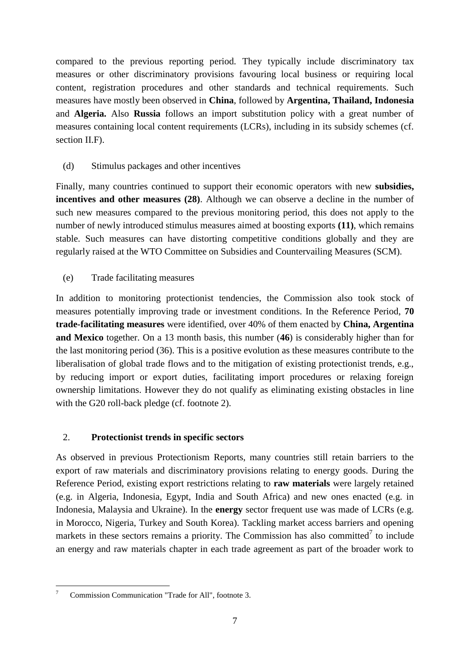compared to the previous reporting period. They typically include discriminatory tax measures or other discriminatory provisions favouring local business or requiring local content, registration procedures and other standards and technical requirements. Such measures have mostly been observed in **China**, followed by **Argentina, Thailand, Indonesia**  and **Algeria.** Also **Russia** follows an import substitution policy with a great number of measures containing local content requirements (LCRs), including in its subsidy schemes (cf. section II.F).

### (d) Stimulus packages and other incentives

Finally, many countries continued to support their economic operators with new **subsidies, incentives and other measures (28)**. Although we can observe a decline in the number of such new measures compared to the previous monitoring period, this does not apply to the number of newly introduced stimulus measures aimed at boosting exports **(11)**, which remains stable. Such measures can have distorting competitive conditions globally and they are regularly raised at the WTO Committee on Subsidies and Countervailing Measures (SCM).

## (e) Trade facilitating measures

In addition to monitoring protectionist tendencies, the Commission also took stock of measures potentially improving trade or investment conditions. In the Reference Period, **70 trade-facilitating measures** were identified, over 40% of them enacted by **China, Argentina and Mexico** together. On a 13 month basis, this number (**46**) is considerably higher than for the last monitoring period (36). This is a positive evolution as these measures contribute to the liberalisation of global trade flows and to the mitigation of existing protectionist trends, e.g., by reducing import or export duties, facilitating import procedures or relaxing foreign ownership limitations. However they do not qualify as eliminating existing obstacles in line with the G20 roll-back pledge (cf. footnote [2\)](#page-1-0).

#### 2. **Protectionist trends in specific sectors**

As observed in previous Protectionism Reports, many countries still retain barriers to the export of raw materials and discriminatory provisions relating to energy goods. During the Reference Period, existing export restrictions relating to **raw materials** were largely retained (e.g. in Algeria, Indonesia, Egypt, India and South Africa) and new ones enacted (e.g. in Indonesia, Malaysia and Ukraine). In the **energy** sector frequent use was made of LCRs (e.g. in Morocco, Nigeria, Turkey and South Korea). Tackling market access barriers and opening markets in these sectors remains a priority. The Commission has also committed<sup>7</sup> to include an energy and raw materials chapter in each trade agreement as part of the broader work to

 $\overline{7}$ <sup>7</sup> Commission Communication "Trade for All", footnote [3.](#page-1-1)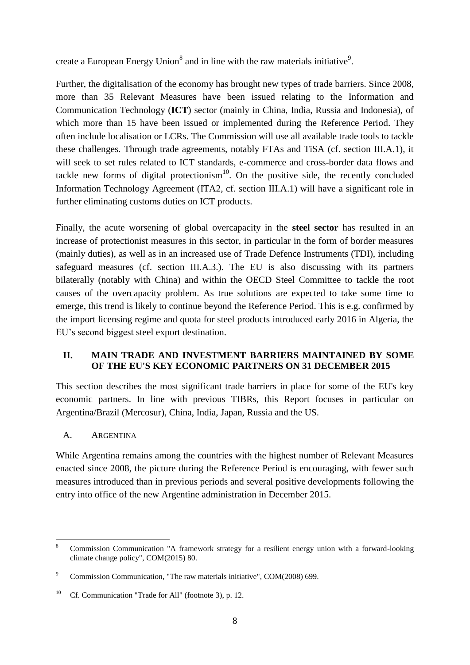create a European Energy Union<sup>8</sup> and in line with the raw materials initiative<sup>9</sup>.

Further, the digitalisation of the economy has brought new types of trade barriers. Since 2008, more than 35 Relevant Measures have been issued relating to the Information and Communication Technology (**ICT**) sector (mainly in China, India, Russia and Indonesia), of which more than 15 have been issued or implemented during the Reference Period. They often include localisation or LCRs. The Commission will use all available trade tools to tackle these challenges. Through trade agreements, notably FTAs and TiSA (cf. section III.A.1), it will seek to set rules related to ICT standards, e-commerce and cross-border data flows and tackle new forms of digital protectionism<sup>10</sup>. On the positive side, the recently concluded Information Technology Agreement (ITA2, cf. section III.A.1) will have a significant role in further eliminating customs duties on ICT products.

Finally, the acute worsening of global overcapacity in the **steel sector** has resulted in an increase of protectionist measures in this sector, in particular in the form of border measures (mainly duties), as well as in an increased use of Trade Defence Instruments (TDI), including safeguard measures (cf. section III.A.3.). The EU is also discussing with its partners bilaterally (notably with China) and within the OECD Steel Committee to tackle the root causes of the overcapacity problem. As true solutions are expected to take some time to emerge, this trend is likely to continue beyond the Reference Period. This is e.g. confirmed by the import licensing regime and quota for steel products introduced early 2016 in Algeria, the EU's second biggest steel export destination.

# **II. MAIN TRADE AND INVESTMENT BARRIERS MAINTAINED BY SOME OF THE EU'S KEY ECONOMIC PARTNERS ON 31 DECEMBER 2015**

This section describes the most significant trade barriers in place for some of the EU's key economic partners. In line with previous TIBRs, this Report focuses in particular on Argentina/Brazil (Mercosur), China, India, Japan, Russia and the US.

# A. ARGENTINA

1

While Argentina remains among the countries with the highest number of Relevant Measures enacted since 2008, the picture during the Reference Period is encouraging, with fewer such measures introduced than in previous periods and several positive developments following the entry into office of the new Argentine administration in December 2015.

<sup>8</sup> Commission Communication "A framework strategy for a resilient energy union with a forward-looking climate change policy", COM(2015) 80.

<sup>9</sup> Commission Communication, "The raw materials initiative", COM(2008) 699.

<sup>&</sup>lt;sup>10</sup> Cf. Communication "Trade for All" (footnote [3\)](#page-1-1), p. 12.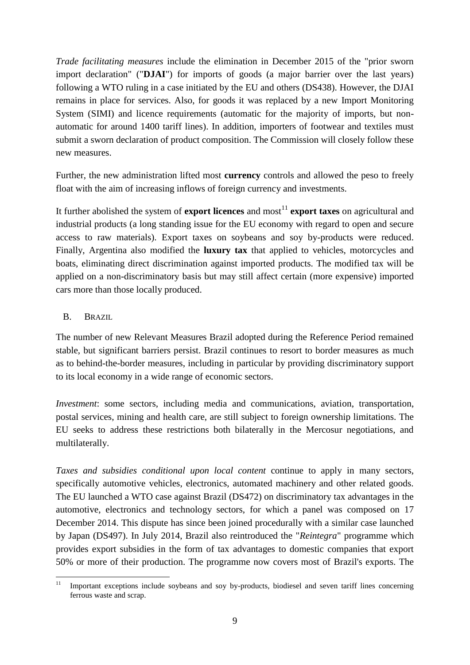*Trade facilitating measures* include the elimination in December 2015 of the "prior sworn import declaration" ("**DJAI**") for imports of goods (a major barrier over the last years) following a WTO ruling in a case initiated by the EU and others (DS438). However, the DJAI remains in place for services. Also, for goods it was replaced by a new Import Monitoring System (SIMI) and licence requirements (automatic for the majority of imports, but nonautomatic for around 1400 tariff lines). In addition, importers of footwear and textiles must submit a sworn declaration of product composition. The Commission will closely follow these new measures.

Further, the new administration lifted most **currency** controls and allowed the peso to freely float with the aim of increasing inflows of foreign currency and investments.

It further abolished the system of **export licences** and most<sup>11</sup> **export taxes** on agricultural and industrial products (a long standing issue for the EU economy with regard to open and secure access to raw materials). Export taxes on soybeans and soy by-products were reduced. Finally, Argentina also modified the **luxury tax** that applied to vehicles, motorcycles and boats, eliminating direct discrimination against imported products. The modified tax will be applied on a non-discriminatory basis but may still affect certain (more expensive) imported cars more than those locally produced.

#### B. BRAZIL

The number of new Relevant Measures Brazil adopted during the Reference Period remained stable, but significant barriers persist. Brazil continues to resort to border measures as much as to behind-the-border measures, including in particular by providing discriminatory support to its local economy in a wide range of economic sectors.

*Investment*: some sectors, including media and communications, aviation, transportation, postal services, mining and health care, are still subject to foreign ownership limitations. The EU seeks to address these restrictions both bilaterally in the Mercosur negotiations, and multilaterally.

*Taxes and subsidies conditional upon local content* continue to apply in many sectors, specifically automotive vehicles, electronics, automated machinery and other related goods. The EU launched a WTO case against Brazil (DS472) on discriminatory tax advantages in the automotive, electronics and technology sectors, for which a panel was composed on 17 December 2014. This dispute has since been joined procedurally with a similar case launched by Japan (DS497). In July 2014, Brazil also reintroduced the "*Reintegra*" programme which provides export subsidies in the form of tax advantages to domestic companies that export 50% or more of their production. The programme now covers most of Brazil's exports. The

 $11$ <sup>11</sup> Important exceptions include soybeans and soy by-products, biodiesel and seven tariff lines concerning ferrous waste and scrap.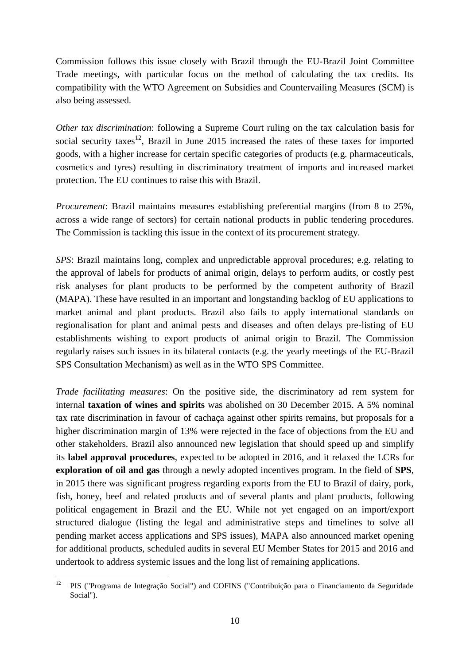Commission follows this issue closely with Brazil through the EU-Brazil Joint Committee Trade meetings, with particular focus on the method of calculating the tax credits. Its compatibility with the WTO Agreement on Subsidies and Countervailing Measures (SCM) is also being assessed.

*Other tax discrimination*: following a Supreme Court ruling on the tax calculation basis for social security taxes<sup>12</sup>, Brazil in June 2015 increased the rates of these taxes for imported goods, with a higher increase for certain specific categories of products (e.g. pharmaceuticals, cosmetics and tyres) resulting in discriminatory treatment of imports and increased market protection. The EU continues to raise this with Brazil.

*Procurement*: Brazil maintains measures establishing preferential margins (from 8 to 25%, across a wide range of sectors) for certain national products in public tendering procedures. The Commission is tackling this issue in the context of its procurement strategy.

*SPS*: Brazil maintains long, complex and unpredictable approval procedures; e.g. relating to the approval of labels for products of animal origin, delays to perform audits, or costly pest risk analyses for plant products to be performed by the competent authority of Brazil (MAPA). These have resulted in an important and longstanding backlog of EU applications to market animal and plant products. Brazil also fails to apply international standards on regionalisation for plant and animal pests and diseases and often delays pre-listing of EU establishments wishing to export products of animal origin to Brazil. The Commission regularly raises such issues in its bilateral contacts (e.g. the yearly meetings of the EU-Brazil SPS Consultation Mechanism) as well as in the WTO SPS Committee.

*Trade facilitating measures*: On the positive side, the discriminatory ad rem system for internal **taxation of wines and spirits** was abolished on 30 December 2015. A 5% nominal tax rate discrimination in favour of cachaça against other spirits remains, but proposals for a higher discrimination margin of 13% were rejected in the face of objections from the EU and other stakeholders. Brazil also announced new legislation that should speed up and simplify its **label approval procedures**, expected to be adopted in 2016, and it relaxed the LCRs for **exploration of oil and gas** through a newly adopted incentives program. In the field of **SPS**, in 2015 there was significant progress regarding exports from the EU to Brazil of dairy, pork, fish, honey, beef and related products and of several plants and plant products, following political engagement in Brazil and the EU. While not yet engaged on an import/export structured dialogue (listing the legal and administrative steps and timelines to solve all pending market access applications and SPS issues), MAPA also announced market opening for additional products, scheduled audits in several EU Member States for 2015 and 2016 and undertook to address systemic issues and the long list of remaining applications.

 $12$ <sup>12</sup> PIS ("Programa de Integração Social") and COFINS ("Contribuição para o Financiamento da Seguridade Social").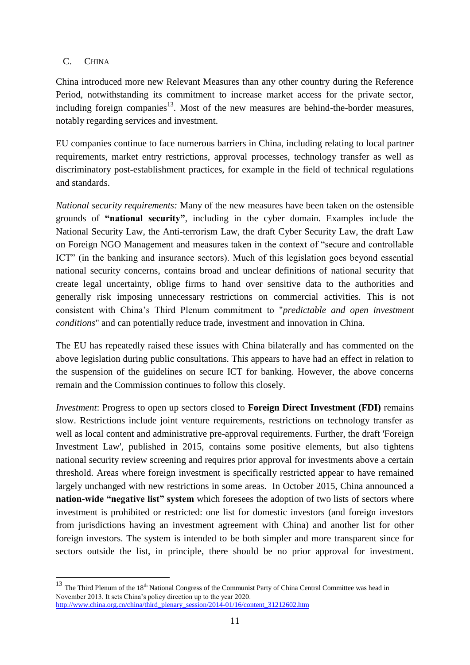## C. CHINA

1

China introduced more new Relevant Measures than any other country during the Reference Period, notwithstanding its commitment to increase market access for the private sector, including foreign companies<sup>13</sup>. Most of the new measures are behind-the-border measures, notably regarding services and investment.

EU companies continue to face numerous barriers in China, including relating to local partner requirements, market entry restrictions, approval processes, technology transfer as well as discriminatory post-establishment practices, for example in the field of technical regulations and standards.

*National security requirements:* Many of the new measures have been taken on the ostensible grounds of **"national security"**, including in the cyber domain. Examples include the National Security Law, the Anti-terrorism Law, the draft Cyber Security Law, the draft Law on Foreign NGO Management and measures taken in the context of "secure and controllable ICT" (in the banking and insurance sectors). Much of this legislation goes beyond essential national security concerns, contains broad and unclear definitions of national security that create legal uncertainty, oblige firms to hand over sensitive data to the authorities and generally risk imposing unnecessary restrictions on commercial activities. This is not consistent with China's Third Plenum commitment to "*predictable and open investment conditions*" and can potentially reduce trade, investment and innovation in China.

The EU has repeatedly raised these issues with China bilaterally and has commented on the above legislation during public consultations. This appears to have had an effect in relation to the suspension of the guidelines on secure ICT for banking. However, the above concerns remain and the Commission continues to follow this closely.

*Investment*: Progress to open up sectors closed to **Foreign Direct Investment (FDI)** remains slow. Restrictions include joint venture requirements, restrictions on technology transfer as well as local content and administrative pre-approval requirements. Further, the draft 'Foreign Investment Law', published in 2015, contains some positive elements, but also tightens national security review screening and requires prior approval for investments above a certain threshold. Areas where foreign investment is specifically restricted appear to have remained largely unchanged with new restrictions in some areas. In October 2015, China announced a **nation-wide "negative list" system** which foresees the adoption of two lists of sectors where investment is prohibited or restricted: one list for domestic investors (and foreign investors from jurisdictions having an investment agreement with China) and another list for other foreign investors. The system is intended to be both simpler and more transparent since for sectors outside the list, in principle, there should be no prior approval for investment.

<sup>&</sup>lt;sup>13</sup> The Third Plenum of the 18<sup>th</sup> National Congress of the Communist Party of China Central Committee was head in November 2013. It sets China's policy direction up to the year 2020. [http://www.china.org.cn/china/third\\_plenary\\_session/2014-01/16/content\\_31212602.htm](http://www.china.org.cn/china/third_plenary_session/2014-01/16/content_31212602.htm)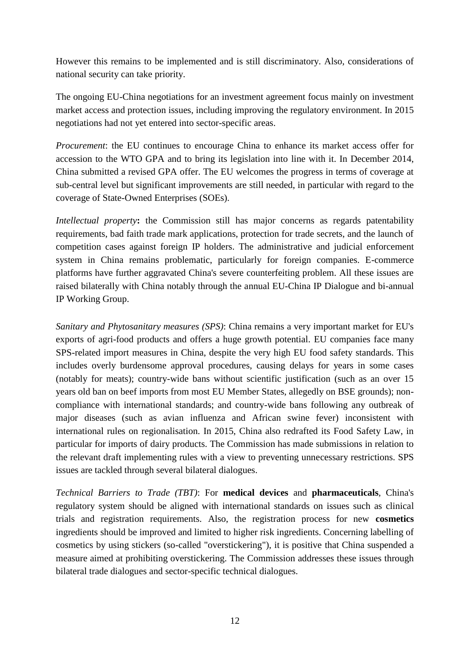However this remains to be implemented and is still discriminatory. Also, considerations of national security can take priority.

The ongoing EU-China negotiations for an investment agreement focus mainly on investment market access and protection issues, including improving the regulatory environment. In 2015 negotiations had not yet entered into sector-specific areas.

*Procurement*: the EU continues to encourage China to enhance its market access offer for accession to the WTO GPA and to bring its legislation into line with it. In December 2014, China submitted a revised GPA offer. The EU welcomes the progress in terms of coverage at sub-central level but significant improvements are still needed, in particular with regard to the coverage of State-Owned Enterprises (SOEs).

*Intellectual property***:** the Commission still has major concerns as regards patentability requirements, bad faith trade mark applications, protection for trade secrets, and the launch of competition cases against foreign IP holders. The administrative and judicial enforcement system in China remains problematic, particularly for foreign companies. E-commerce platforms have further aggravated China's severe counterfeiting problem. All these issues are raised bilaterally with China notably through the annual EU-China IP Dialogue and bi-annual IP Working Group.

*Sanitary and Phytosanitary measures (SPS)*: China remains a very important market for EU's exports of agri-food products and offers a huge growth potential. EU companies face many SPS-related import measures in China, despite the very high EU food safety standards. This includes overly burdensome approval procedures, causing delays for years in some cases (notably for meats); country-wide bans without scientific justification (such as an over 15 years old ban on beef imports from most EU Member States, allegedly on BSE grounds); noncompliance with international standards; and country-wide bans following any outbreak of major diseases (such as avian influenza and African swine fever) inconsistent with international rules on regionalisation. In 2015, China also redrafted its Food Safety Law, in particular for imports of dairy products. The Commission has made submissions in relation to the relevant draft implementing rules with a view to preventing unnecessary restrictions. SPS issues are tackled through several bilateral dialogues.

*Technical Barriers to Trade (TBT)*: For **medical devices** and **pharmaceuticals**, China's regulatory system should be aligned with international standards on issues such as clinical trials and registration requirements. Also, the registration process for new **cosmetics** ingredients should be improved and limited to higher risk ingredients. Concerning labelling of cosmetics by using stickers (so-called "overstickering"), it is positive that China suspended a measure aimed at prohibiting overstickering. The Commission addresses these issues through bilateral trade dialogues and sector-specific technical dialogues.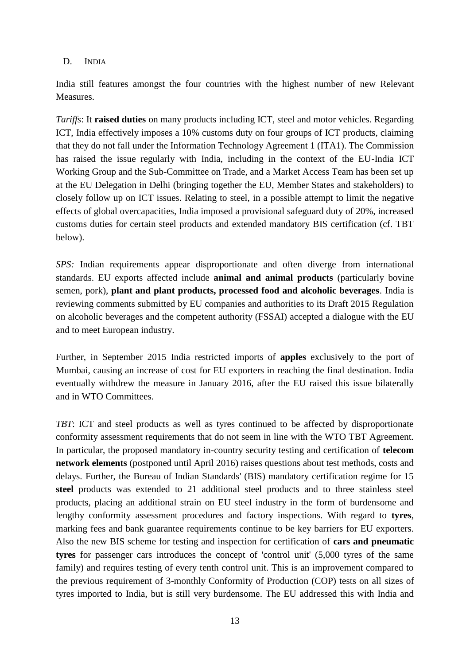#### D. INDIA

India still features amongst the four countries with the highest number of new Relevant Measures.

*Tariffs*: It **raised duties** on many products including ICT, steel and motor vehicles. Regarding ICT, India effectively imposes a 10% customs duty on four groups of ICT products, claiming that they do not fall under the Information Technology Agreement 1 (ITA1). The Commission has raised the issue regularly with India, including in the context of the EU-India ICT Working Group and the Sub-Committee on Trade, and a Market Access Team has been set up at the EU Delegation in Delhi (bringing together the EU, Member States and stakeholders) to closely follow up on ICT issues. Relating to steel, in a possible attempt to limit the negative effects of global overcapacities, India imposed a provisional safeguard duty of 20%, increased customs duties for certain steel products and extended mandatory BIS certification (cf. TBT below).

*SPS:* Indian requirements appear disproportionate and often diverge from international standards. EU exports affected include **animal and animal products** (particularly bovine semen, pork), **plant and plant products, processed food and alcoholic beverages**. India is reviewing comments submitted by EU companies and authorities to its Draft 2015 Regulation on alcoholic beverages and the competent authority (FSSAI) accepted a dialogue with the EU and to meet European industry.

Further, in September 2015 India restricted imports of **apples** exclusively to the port of Mumbai, causing an increase of cost for EU exporters in reaching the final destination. India eventually withdrew the measure in January 2016, after the EU raised this issue bilaterally and in WTO Committees.

*TBT*: ICT and steel products as well as tyres continued to be affected by disproportionate conformity assessment requirements that do not seem in line with the WTO TBT Agreement. In particular, the proposed mandatory in-country security testing and certification of **telecom network elements** (postponed until April 2016) raises questions about test methods, costs and delays. Further, the Bureau of Indian Standards' (BIS) mandatory certification regime for 15 **steel** products was extended to 21 additional steel products and to three stainless steel products, placing an additional strain on EU steel industry in the form of burdensome and lengthy conformity assessment procedures and factory inspections. With regard to **tyres**, marking fees and bank guarantee requirements continue to be key barriers for EU exporters. Also the new BIS scheme for testing and inspection for certification of **cars and pneumatic tyres** for passenger cars introduces the concept of 'control unit' (5,000 tyres of the same family) and requires testing of every tenth control unit. This is an improvement compared to the previous requirement of 3-monthly Conformity of Production (COP) tests on all sizes of tyres imported to India, but is still very burdensome. The EU addressed this with India and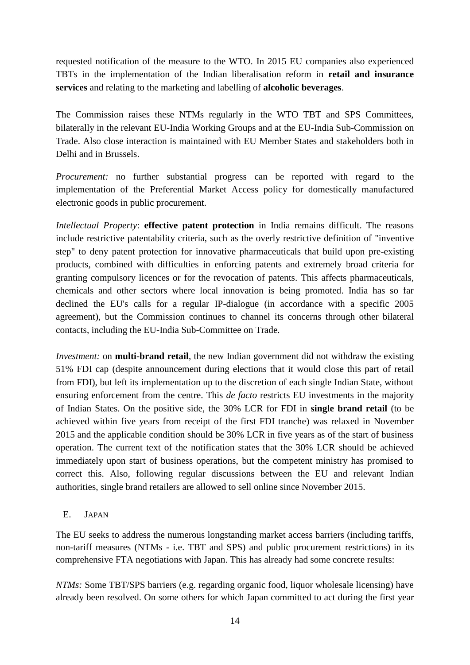requested notification of the measure to the WTO. In 2015 EU companies also experienced TBTs in the implementation of the Indian liberalisation reform in **retail and insurance services** and relating to the marketing and labelling of **alcoholic beverages**.

The Commission raises these NTMs regularly in the WTO TBT and SPS Committees, bilaterally in the relevant EU-India Working Groups and at the EU-India Sub-Commission on Trade. Also close interaction is maintained with EU Member States and stakeholders both in Delhi and in Brussels.

*Procurement:* no further substantial progress can be reported with regard to the implementation of the Preferential Market Access policy for domestically manufactured electronic goods in public procurement.

*Intellectual Property*: **effective patent protection** in India remains difficult. The reasons include restrictive patentability criteria, such as the overly restrictive definition of "inventive step" to deny patent protection for innovative pharmaceuticals that build upon pre-existing products, combined with difficulties in enforcing patents and extremely broad criteria for granting compulsory licences or for the revocation of patents. This affects pharmaceuticals, chemicals and other sectors where local innovation is being promoted. India has so far declined the EU's calls for a regular IP-dialogue (in accordance with a specific 2005 agreement), but the Commission continues to channel its concerns through other bilateral contacts, including the EU-India Sub-Committee on Trade.

*Investment:* on **multi-brand retail**, the new Indian government did not withdraw the existing 51% FDI cap (despite announcement during elections that it would close this part of retail from FDI), but left its implementation up to the discretion of each single Indian State, without ensuring enforcement from the centre. This *de facto* restricts EU investments in the majority of Indian States. On the positive side, the 30% LCR for FDI in **single brand retail** (to be achieved within five years from receipt of the first FDI tranche) was relaxed in November 2015 and the applicable condition should be 30% LCR in five years as of the start of business operation. The current text of the notification states that the 30% LCR should be achieved immediately upon start of business operations, but the competent ministry has promised to correct this. Also, following regular discussions between the EU and relevant Indian authorities, single brand retailers are allowed to sell online since November 2015.

#### E. JAPAN

The EU seeks to address the numerous longstanding market access barriers (including tariffs, non-tariff measures (NTMs - i.e. TBT and SPS) and public procurement restrictions) in its comprehensive FTA negotiations with Japan. This has already had some concrete results:

*NTMs*: Some TBT/SPS barriers (e.g. regarding organic food, liquor wholesale licensing) have already been resolved. On some others for which Japan committed to act during the first year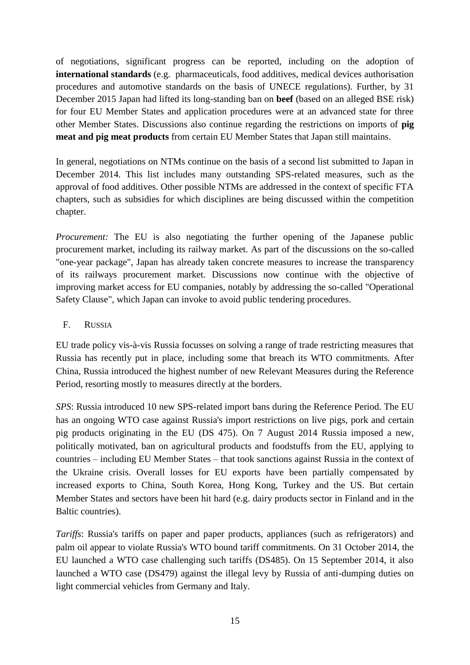of negotiations, significant progress can be reported, including on the adoption of **international standards** (e.g. pharmaceuticals, food additives, medical devices authorisation procedures and automotive standards on the basis of UNECE regulations). Further, by 31 December 2015 Japan had lifted its long-standing ban on **beef** (based on an alleged BSE risk) for four EU Member States and application procedures were at an advanced state for three other Member States. Discussions also continue regarding the restrictions on imports of **pig meat and pig meat products** from certain EU Member States that Japan still maintains.

In general, negotiations on NTMs continue on the basis of a second list submitted to Japan in December 2014. This list includes many outstanding SPS-related measures, such as the approval of food additives. Other possible NTMs are addressed in the context of specific FTA chapters, such as subsidies for which disciplines are being discussed within the competition chapter.

*Procurement:* The EU is also negotiating the further opening of the Japanese public procurement market, including its railway market. As part of the discussions on the so-called "one-year package", Japan has already taken concrete measures to increase the transparency of its railways procurement market. Discussions now continue with the objective of improving market access for EU companies, notably by addressing the so-called "Operational Safety Clause", which Japan can invoke to avoid public tendering procedures.

## F. RUSSIA

EU trade policy vis-à-vis Russia focusses on solving a range of trade restricting measures that Russia has recently put in place, including some that breach its WTO commitments. After China, Russia introduced the highest number of new Relevant Measures during the Reference Period, resorting mostly to measures directly at the borders.

*SPS*: Russia introduced 10 new SPS-related import bans during the Reference Period. The EU has an ongoing WTO case against Russia's import restrictions on live pigs, pork and certain pig products originating in the EU (DS 475). On 7 August 2014 Russia imposed a new, politically motivated, ban on agricultural products and foodstuffs from the EU, applying to countries – including EU Member States – that took sanctions against Russia in the context of the Ukraine crisis. Overall losses for EU exports have been partially compensated by increased exports to China, South Korea, Hong Kong, Turkey and the US. But certain Member States and sectors have been hit hard (e.g. dairy products sector in Finland and in the Baltic countries).

*Tariffs*: Russia's tariffs on paper and paper products, appliances (such as refrigerators) and palm oil appear to violate Russia's WTO bound tariff commitments. On 31 October 2014, the EU launched a WTO case challenging such tariffs (DS485). On 15 September 2014, it also launched a WTO case (DS479) against the illegal levy by Russia of anti-dumping duties on light commercial vehicles from Germany and Italy.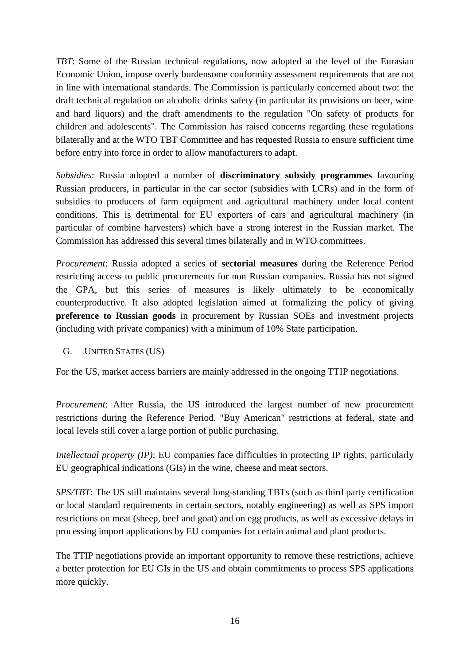*TBT*: Some of the Russian technical regulations, now adopted at the level of the Eurasian Economic Union, impose overly burdensome conformity assessment requirements that are not in line with international standards. The Commission is particularly concerned about two: the draft technical regulation on alcoholic drinks safety (in particular its provisions on beer, wine and hard liquors) and the draft amendments to the regulation "On safety of products for children and adolescents". The Commission has raised concerns regarding these regulations bilaterally and at the WTO TBT Committee and has requested Russia to ensure sufficient time before entry into force in order to allow manufacturers to adapt.

*Subsidies*: Russia adopted a number of **discriminatory subsidy programmes** favouring Russian producers, in particular in the car sector (subsidies with LCRs) and in the form of subsidies to producers of farm equipment and agricultural machinery under local content conditions. This is detrimental for EU exporters of cars and agricultural machinery (in particular of combine harvesters) which have a strong interest in the Russian market. The Commission has addressed this several times bilaterally and in WTO committees.

*Procurement*: Russia adopted a series of **sectorial measures** during the Reference Period restricting access to public procurements for non Russian companies. Russia has not signed the GPA, but this series of measures is likely ultimately to be economically counterproductive. It also adopted legislation aimed at formalizing the policy of giving **preference to Russian goods** in procurement by Russian SOEs and investment projects (including with private companies) with a minimum of 10% State participation.

G. UNITED STATES (US)

For the US, market access barriers are mainly addressed in the ongoing TTIP negotiations.

*Procurement*: After Russia, the US introduced the largest number of new procurement restrictions during the Reference Period. "Buy American" restrictions at federal, state and local levels still cover a large portion of public purchasing.

*Intellectual property (IP)*: EU companies face difficulties in protecting IP rights, particularly EU geographical indications (GIs) in the wine, cheese and meat sectors.

*SPS/TBT*: The US still maintains several long-standing TBTs (such as third party certification or local standard requirements in certain sectors, notably engineering) as well as SPS import restrictions on meat (sheep, beef and goat) and on egg products, as well as excessive delays in processing import applications by EU companies for certain animal and plant products.

The TTIP negotiations provide an important opportunity to remove these restrictions, achieve a better protection for EU GIs in the US and obtain commitments to process SPS applications more quickly.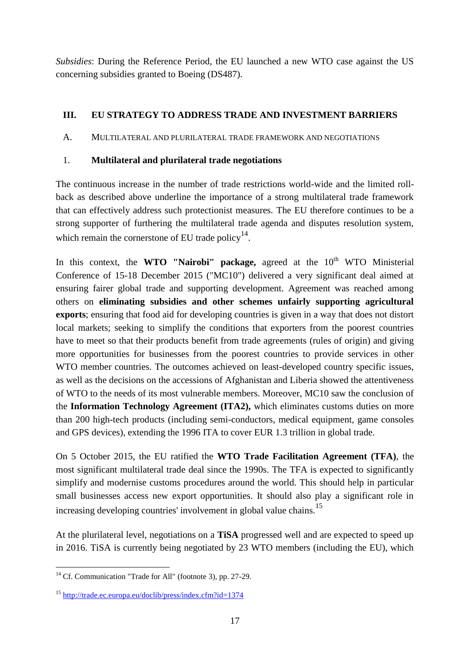*Subsidies*: During the Reference Period, the EU launched a new WTO case against the US concerning subsidies granted to Boeing (DS487).

# **III. EU STRATEGY TO ADDRESS TRADE AND INVESTMENT BARRIERS**

A. MULTILATERAL AND PLURILATERAL TRADE FRAMEWORK AND NEGOTIATIONS

## 1. **Multilateral and plurilateral trade negotiations**

The continuous increase in the number of trade restrictions world-wide and the limited rollback as described above underline the importance of a strong multilateral trade framework that can effectively address such protectionist measures. The EU therefore continues to be a strong supporter of furthering the multilateral trade agenda and disputes resolution system, which remain the cornerstone of EU trade policy $14$ .

In this context, the **WTO "Nairobi" package,** agreed at the 10<sup>th</sup> WTO Ministerial Conference of 15-18 December 2015 ("MC10") delivered a very significant deal aimed at ensuring fairer global trade and supporting development. Agreement was reached among others on **eliminating subsidies and other schemes unfairly supporting agricultural exports**; ensuring that food aid for developing countries is given in a way that does not distort local markets; seeking to simplify the conditions that exporters from the poorest countries have to meet so that their products benefit from trade agreements (rules of origin) and giving more opportunities for businesses from the poorest countries to provide services in other WTO member countries. The outcomes achieved on least-developed country specific issues, as well as the decisions on the accessions of Afghanistan and Liberia showed the attentiveness of WTO to the needs of its most vulnerable members. Moreover, MC10 saw the conclusion of the **Information Technology Agreement (ITA2),** which eliminates customs duties on more than 200 high-tech products (including semi-conductors, medical equipment, game consoles and GPS devices), extending the 1996 ITA to cover EUR 1.3 trillion in global trade.

On 5 October 2015, the EU ratified the **WTO Trade Facilitation Agreement (TFA)**, the most significant multilateral trade deal since the 1990s. The TFA is expected to significantly simplify and modernise customs procedures around the world. This should help in particular small businesses access new export opportunities. It should also play a significant role in increasing developing countries' involvement in global value chains.<sup>15</sup>

At the plurilateral level, negotiations on a **TiSA** progressed well and are expected to speed up in 2016. TiSA is currently being negotiated by 23 WTO members (including the EU), which

<sup>&</sup>lt;u>.</u>  $14$  Cf. Communication "Trade for All" (footnote [3\)](#page-1-1), pp. 27-29.

<sup>15</sup> <http://trade.ec.europa.eu/doclib/press/index.cfm?id=1374>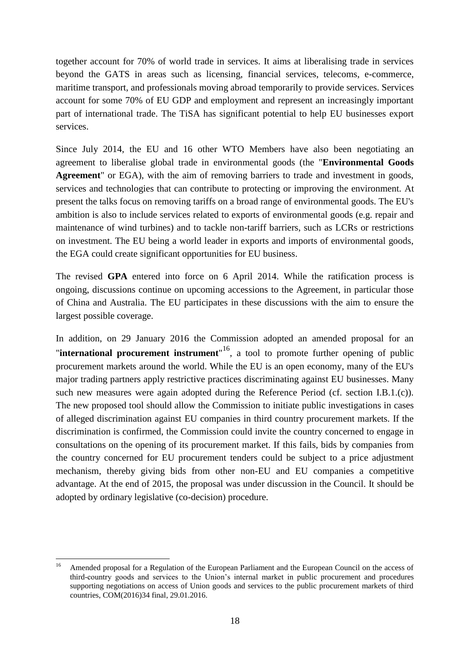together account for 70% of world trade in services. It aims at liberalising trade in services beyond the GATS in areas such as licensing, financial services, telecoms, e-commerce, maritime transport, and professionals moving abroad temporarily to provide services. Services account for some 70% of EU GDP and employment and represent an increasingly important part of international trade. The TiSA has significant potential to help EU businesses export services.

Since July 2014, the EU and 16 other WTO Members have also been negotiating an agreement to liberalise global trade in environmental goods (the "**Environmental Goods Agreement**" or EGA), with the aim of removing barriers to trade and investment in goods, services and technologies that can contribute to protecting or improving the environment. At present the talks focus on removing tariffs on a broad range of environmental goods. The EU's ambition is also to include services related to exports of environmental goods (e.g. repair and maintenance of wind turbines) and to tackle non-tariff barriers, such as LCRs or restrictions on investment. The EU being a world leader in exports and imports of environmental goods, the EGA could create significant opportunities for EU business.

The revised **GPA** entered into force on 6 April 2014. While the ratification process is ongoing, discussions continue on upcoming accessions to the Agreement, in particular those of China and Australia. The EU participates in these discussions with the aim to ensure the largest possible coverage.

In addition, on 29 January 2016 the Commission adopted an amended proposal for an **"international procurement instrument**"<sup>16</sup>, a tool to promote further opening of public procurement markets around the world. While the EU is an open economy, many of the EU's major trading partners apply restrictive practices discriminating against EU businesses. Many such new measures were again adopted during the Reference Period (cf. section I.B.1.(c)). The new proposed tool should allow the Commission to initiate public investigations in cases of alleged discrimination against EU companies in third country procurement markets. If the discrimination is confirmed, the Commission could invite the country concerned to engage in consultations on the opening of its procurement market. If this fails, bids by companies from the country concerned for EU procurement tenders could be subject to a price adjustment mechanism, thereby giving bids from other non-EU and EU companies a competitive advantage. At the end of 2015, the proposal was under discussion in the Council. It should be adopted by ordinary legislative (co-decision) procedure.

 $16$ <sup>16</sup> Amended proposal for a Regulation of the European Parliament and the European Council on the access of third-country goods and services to the Union's internal market in public procurement and procedures supporting negotiations on access of Union goods and services to the public procurement markets of third countries, COM(2016)34 final, 29.01.2016.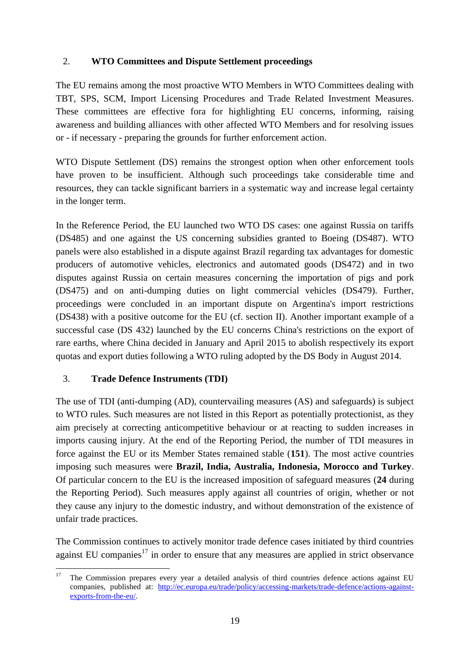### 2. **WTO Committees and Dispute Settlement proceedings**

The EU remains among the most proactive WTO Members in WTO Committees dealing with TBT, SPS, SCM, Import Licensing Procedures and Trade Related Investment Measures. These committees are effective fora for highlighting EU concerns, informing, raising awareness and building alliances with other affected WTO Members and for resolving issues or - if necessary - preparing the grounds for further enforcement action.

WTO Dispute Settlement (DS) remains the strongest option when other enforcement tools have proven to be insufficient. Although such proceedings take considerable time and resources, they can tackle significant barriers in a systematic way and increase legal certainty in the longer term.

In the Reference Period, the EU launched two WTO DS cases: one against Russia on tariffs (DS485) and one against the US concerning subsidies granted to Boeing (DS487). WTO panels were also established in a dispute against Brazil regarding tax advantages for domestic producers of automotive vehicles, electronics and automated goods (DS472) and in two disputes against Russia on certain measures concerning the importation of pigs and pork (DS475) and on anti-dumping duties on light commercial vehicles (DS479). Further, proceedings were concluded in an important dispute on Argentina's import restrictions (DS438) with a positive outcome for the EU (cf. section II). Another important example of a successful case (DS 432) launched by the EU concerns China's restrictions on the export of rare earths, where China decided in January and April 2015 to abolish respectively its export quotas and export duties following a WTO ruling adopted by the DS Body in August 2014.

#### 3. **Trade Defence Instruments (TDI)**

The use of TDI (anti-dumping (AD), countervailing measures (AS) and safeguards) is subject to WTO rules. Such measures are not listed in this Report as potentially protectionist, as they aim precisely at correcting anticompetitive behaviour or at reacting to sudden increases in imports causing injury. At the end of the Reporting Period, the number of TDI measures in force against the EU or its Member States remained stable (**151**). The most active countries imposing such measures were **Brazil, India, Australia, Indonesia, Morocco and Turkey**. Of particular concern to the EU is the increased imposition of safeguard measures (**24** during the Reporting Period). Such measures apply against all countries of origin, whether or not they cause any injury to the domestic industry, and without demonstration of the existence of unfair trade practices.

The Commission continues to actively monitor trade defence cases initiated by third countries against EU companies $17$  in order to ensure that any measures are applied in strict observance

 $17$ <sup>17</sup> The Commission prepares every year a detailed analysis of third countries defence actions against EU companies, published at: [http://ec.europa.eu/trade/policy/accessing-markets/trade-defence/actions-against](http://ec.europa.eu/trade/policy/accessing-markets/trade-defence/actions-against-exports-from-the-eu/)[exports-from-the-eu/.](http://ec.europa.eu/trade/policy/accessing-markets/trade-defence/actions-against-exports-from-the-eu/)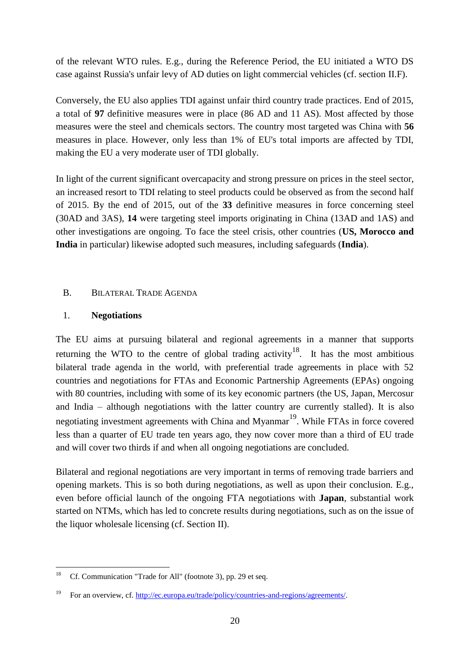of the relevant WTO rules. E.g., during the Reference Period, the EU initiated a WTO DS case against Russia's unfair levy of AD duties on light commercial vehicles (cf. section II.F).

Conversely, the EU also applies TDI against unfair third country trade practices. End of 2015, a total of **97** definitive measures were in place (86 AD and 11 AS). Most affected by those measures were the steel and chemicals sectors. The country most targeted was China with **56** measures in place. However, only less than 1% of EU's total imports are affected by TDI, making the EU a very moderate user of TDI globally.

In light of the current significant overcapacity and strong pressure on prices in the steel sector, an increased resort to TDI relating to steel products could be observed as from the second half of 2015. By the end of 2015, out of the **33** definitive measures in force concerning steel (30AD and 3AS), **14** were targeting steel imports originating in China (13AD and 1AS) and other investigations are ongoing. To face the steel crisis, other countries (**US, Morocco and India** in particular) likewise adopted such measures, including safeguards (**India**).

#### B. BILATERAL TRADE AGENDA

#### 1. **Negotiations**

The EU aims at pursuing bilateral and regional agreements in a manner that supports returning the WTO to the centre of global trading activity<sup>18</sup>. It has the most ambitious bilateral trade agenda in the world, with preferential trade agreements in place with 52 countries and negotiations for FTAs and Economic Partnership Agreements (EPAs) ongoing with 80 countries, including with some of its key economic partners (the US, Japan, Mercosur and India – although negotiations with the latter country are currently stalled). It is also negotiating investment agreements with China and Myanmar<sup>19</sup>. While FTAs in force covered less than a quarter of EU trade ten years ago, they now cover more than a third of EU trade and will cover two thirds if and when all ongoing negotiations are concluded.

Bilateral and regional negotiations are very important in terms of removing trade barriers and opening markets. This is so both during negotiations, as well as upon their conclusion. E.g., even before official launch of the ongoing FTA negotiations with **Japan**, substantial work started on NTMs, which has led to concrete results during negotiations, such as on the issue of the liquor wholesale licensing (cf. Section II).

<sup>18</sup> <sup>18</sup> Cf. Communication "Trade for All" (footnote [3\)](#page-1-1), pp. 29 et seq.

<sup>19</sup> For an overview, cf. [http://ec.europa.eu/trade/policy/countries-and-regions/agreements/.](http://ec.europa.eu/trade/policy/countries-and-regions/agreements/)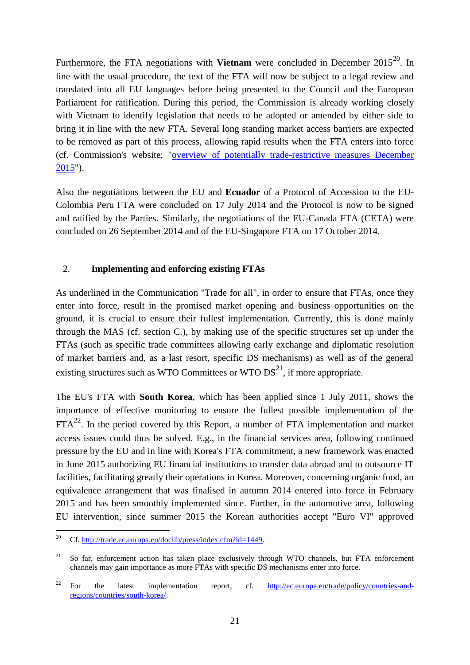Furthermore, the FTA negotiations with **Vietnam** were concluded in December 2015<sup>20</sup>. In line with the usual procedure, the text of the FTA will now be subject to a legal review and translated into all EU languages before being presented to the Council and the European Parliament for ratification. During this period, the Commission is already working closely with Vietnam to identify legislation that needs to be adopted or amended by either side to bring it in line with the new FTA. Several long standing market access barriers are expected to be removed as part of this process, allowing rapid results when the FTA enters into force (cf. Commission's website: ["overview of potentially trade-restrictive measures December](http://trade.ec.europa.eu/doclib/html/154568.htm)  [2015"](http://trade.ec.europa.eu/doclib/html/154568.htm)).

Also the negotiations between the EU and **Ecuador** of a Protocol of Accession to the EU-Colombia Peru FTA were concluded on 17 July 2014 and the Protocol is now to be signed and ratified by the Parties. Similarly, the negotiations of the EU-Canada FTA (CETA) were concluded on 26 September 2014 and of the EU-Singapore FTA on 17 October 2014.

## 2. **Implementing and enforcing existing FTAs**

As underlined in the Communication "Trade for all", in order to ensure that FTAs, once they enter into force, result in the promised market opening and business opportunities on the ground, it is crucial to ensure their fullest implementation. Currently, this is done mainly through the MAS (cf. section C.), by making use of the specific structures set up under the FTAs (such as specific trade committees allowing early exchange and diplomatic resolution of market barriers and, as a last resort, specific DS mechanisms) as well as of the general existing structures such as WTO Committees or WTO  $DS<sup>21</sup>$ , if more appropriate.

The EU's FTA with **South Korea**, which has been applied since 1 July 2011, shows the importance of effective monitoring to ensure the fullest possible implementation of the  $FTA^{22}$ . In the period covered by this Report, a number of FTA implementation and market access issues could thus be solved. E.g., in the financial services area, following continued pressure by the EU and in line with Korea's FTA commitment, a new framework was enacted in June 2015 authorizing EU financial institutions to transfer data abroad and to outsource IT facilities, facilitating greatly their operations in Korea. Moreover, concerning organic food, an equivalence arrangement that was finalised in autumn 2014 entered into force in February 2015 and has been smoothly implemented since. Further, in the automotive area, following EU intervention, since summer 2015 the Korean authorities accept "Euro VI" approved

<sup>20</sup> <sup>20</sup> Cf[. http://trade.ec.europa.eu/doclib/press/index.cfm?id=1449.](http://trade.ec.europa.eu/doclib/press/index.cfm?id=1449)

 $21$  So far, enforcement action has taken place exclusively through WTO channels, but FTA enforcement channels may gain importance as more FTAs with specific DS mechanisms enter into force.

<sup>&</sup>lt;sup>22</sup> For the latest implementation report, cf. [http://ec.europa.eu/trade/policy/countries-and](http://ec.europa.eu/trade/policy/countries-and-regions/countries/south-korea/)[regions/countries/south-korea/.](http://ec.europa.eu/trade/policy/countries-and-regions/countries/south-korea/)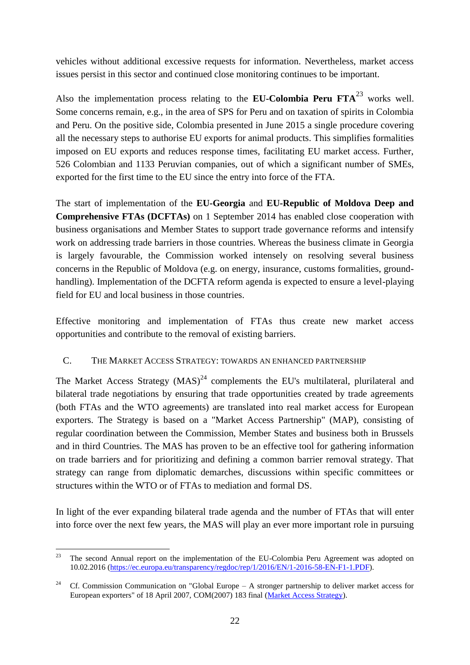vehicles without additional excessive requests for information. Nevertheless, market access issues persist in this sector and continued close monitoring continues to be important.

Also the implementation process relating to the **EU-Colombia Peru FTA**<sup>23</sup> works well. Some concerns remain, e.g., in the area of SPS for Peru and on taxation of spirits in Colombia and Peru. On the positive side, Colombia presented in June 2015 a single procedure covering all the necessary steps to authorise EU exports for animal products. This simplifies formalities imposed on EU exports and reduces response times, facilitating EU market access. Further, 526 Colombian and 1133 Peruvian companies, out of which a significant number of SMEs, exported for the first time to the EU since the entry into force of the FTA.

The start of implementation of the **EU-Georgia** and **EU-Republic of Moldova Deep and Comprehensive FTAs (DCFTAs)** on 1 September 2014 has enabled close cooperation with business organisations and Member States to support trade governance reforms and intensify work on addressing trade barriers in those countries. Whereas the business climate in Georgia is largely favourable, the Commission worked intensely on resolving several business concerns in the Republic of Moldova (e.g. on energy, insurance, customs formalities, groundhandling). Implementation of the DCFTA reform agenda is expected to ensure a level-playing field for EU and local business in those countries.

Effective monitoring and implementation of FTAs thus create new market access opportunities and contribute to the removal of existing barriers.

#### C. THE MARKET ACCESS STRATEGY: TOWARDS AN ENHANCED PARTNERSHIP

The Market Access Strategy  $(MAS)^{24}$  complements the EU's multilateral, plurilateral and bilateral trade negotiations by ensuring that trade opportunities created by trade agreements (both FTAs and the WTO agreements) are translated into real market access for European exporters. The Strategy is based on a "Market Access Partnership" (MAP), consisting of regular coordination between the Commission, Member States and business both in Brussels and in third Countries. The MAS has proven to be an effective tool for gathering information on trade barriers and for prioritizing and defining a common barrier removal strategy. That strategy can range from diplomatic demarches, discussions within specific committees or structures within the WTO or of FTAs to mediation and formal DS.

In light of the ever expanding bilateral trade agenda and the number of FTAs that will enter into force over the next few years, the MAS will play an ever more important role in pursuing

<sup>23</sup> <sup>23</sup> The second Annual report on the implementation of the EU-Colombia Peru Agreement was adopted on 10.02.2016 [\(https://ec.europa.eu/transparency/regdoc/rep/1/2016/EN/1-2016-58-EN-F1-1.PDF\)](https://ec.europa.eu/transparency/regdoc/rep/1/2016/EN/1-2016-58-EN-F1-1.PDF).

<sup>&</sup>lt;sup>24</sup> Cf. Commission Communication on "Global Europe – A stronger partnership to deliver market access for European exporters" of 18 April 2007, COM(2007) 183 final [\(Market Access Strategy\)](http://trade.ec.europa.eu/doclib/html/134591.htm).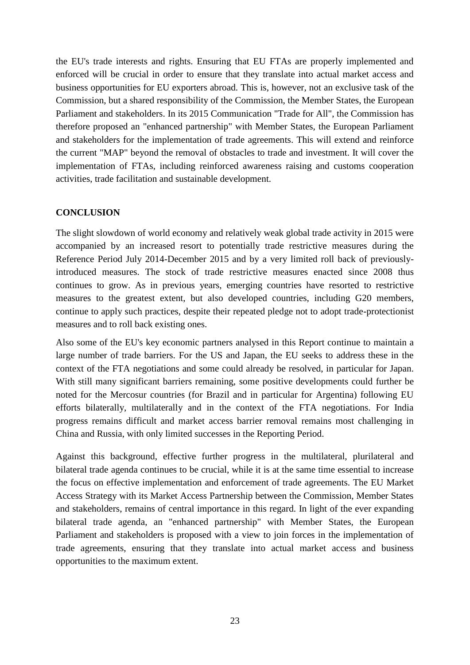the EU's trade interests and rights. Ensuring that EU FTAs are properly implemented and enforced will be crucial in order to ensure that they translate into actual market access and business opportunities for EU exporters abroad. This is, however, not an exclusive task of the Commission, but a shared responsibility of the Commission, the Member States, the European Parliament and stakeholders. In its 2015 Communication "Trade for All", the Commission has therefore proposed an "enhanced partnership" with Member States, the European Parliament and stakeholders for the implementation of trade agreements. This will extend and reinforce the current "MAP" beyond the removal of obstacles to trade and investment. It will cover the implementation of FTAs, including reinforced awareness raising and customs cooperation activities, trade facilitation and sustainable development.

#### **CONCLUSION**

The slight slowdown of world economy and relatively weak global trade activity in 2015 were accompanied by an increased resort to potentially trade restrictive measures during the Reference Period July 2014-December 2015 and by a very limited roll back of previouslyintroduced measures. The stock of trade restrictive measures enacted since 2008 thus continues to grow. As in previous years, emerging countries have resorted to restrictive measures to the greatest extent, but also developed countries, including G20 members, continue to apply such practices, despite their repeated pledge not to adopt trade-protectionist measures and to roll back existing ones.

Also some of the EU's key economic partners analysed in this Report continue to maintain a large number of trade barriers. For the US and Japan, the EU seeks to address these in the context of the FTA negotiations and some could already be resolved, in particular for Japan. With still many significant barriers remaining, some positive developments could further be noted for the Mercosur countries (for Brazil and in particular for Argentina) following EU efforts bilaterally, multilaterally and in the context of the FTA negotiations. For India progress remains difficult and market access barrier removal remains most challenging in China and Russia, with only limited successes in the Reporting Period.

Against this background, effective further progress in the multilateral, plurilateral and bilateral trade agenda continues to be crucial, while it is at the same time essential to increase the focus on effective implementation and enforcement of trade agreements. The EU Market Access Strategy with its Market Access Partnership between the Commission, Member States and stakeholders, remains of central importance in this regard. In light of the ever expanding bilateral trade agenda, an "enhanced partnership" with Member States, the European Parliament and stakeholders is proposed with a view to join forces in the implementation of trade agreements, ensuring that they translate into actual market access and business opportunities to the maximum extent.